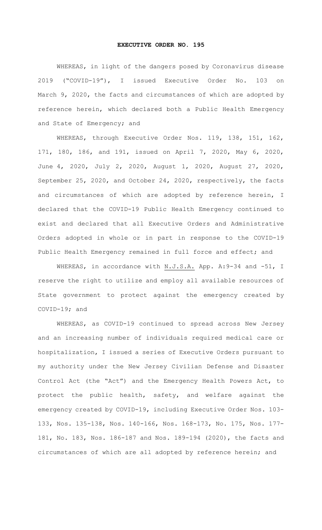## **EXECUTIVE ORDER NO. 195**

WHEREAS, in light of the dangers posed by Coronavirus disease 2019 ("COVID-19"), I issued Executive Order No. 103 on March 9, 2020, the facts and circumstances of which are adopted by reference herein, which declared both a Public Health Emergency and State of Emergency; and

WHEREAS, through Executive Order Nos. 119, 138, 151, 162, 171, 180, 186, and 191, issued on April 7, 2020, May 6, 2020, June 4, 2020, July 2, 2020, August 1, 2020, August 27, 2020, September 25, 2020, and October 24, 2020, respectively, the facts and circumstances of which are adopted by reference herein, I declared that the COVID-19 Public Health Emergency continued to exist and declared that all Executive Orders and Administrative Orders adopted in whole or in part in response to the COVID-19 Public Health Emergency remained in full force and effect; and

WHEREAS, in accordance with N.J.S.A. App. A: 9-34 and -51, I reserve the right to utilize and employ all available resources of State government to protect against the emergency created by COVID-19; and

WHEREAS, as COVID-19 continued to spread across New Jersey and an increasing number of individuals required medical care or hospitalization, I issued a series of Executive Orders pursuant to my authority under the New Jersey Civilian Defense and Disaster Control Act (the "Act") and the Emergency Health Powers Act, to protect the public health, safety, and welfare against the emergency created by COVID-19, including Executive Order Nos. 103- 133, Nos. 135-138, Nos. 140-166, Nos. 168-173, No. 175, Nos. 177- 181, No. 183, Nos. 186-187 and Nos. 189-194 (2020), the facts and circumstances of which are all adopted by reference herein; and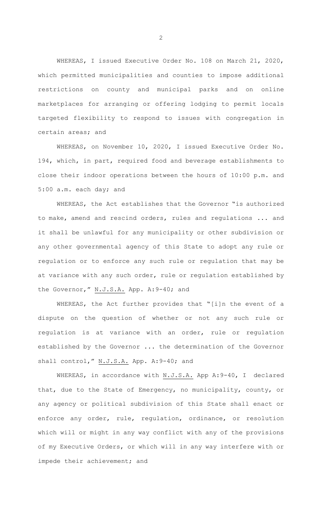WHEREAS, I issued Executive Order No. 108 on March 21, 2020, which permitted municipalities and counties to impose additional restrictions on county and municipal parks and on online marketplaces for arranging or offering lodging to permit locals targeted flexibility to respond to issues with congregation in certain areas; and

WHEREAS, on November 10, 2020, I issued Executive Order No. 194, which, in part, required food and beverage establishments to close their indoor operations between the hours of 10:00 p.m. and 5:00 a.m. each day; and

WHEREAS, the Act establishes that the Governor "is authorized to make, amend and rescind orders, rules and regulations ... and it shall be unlawful for any municipality or other subdivision or any other governmental agency of this State to adopt any rule or regulation or to enforce any such rule or regulation that may be at variance with any such order, rule or regulation established by the Governor," N.J.S.A. App. A: 9-40; and

WHEREAS, the Act further provides that "[i]n the event of a dispute on the question of whether or not any such rule or regulation is at variance with an order, rule or regulation established by the Governor ... the determination of the Governor shall control," N.J.S.A. App. A:9-40; and

WHEREAS, in accordance with N.J.S.A. App A:9-40, I declared that, due to the State of Emergency, no municipality, county, or any agency or political subdivision of this State shall enact or enforce any order, rule, regulation, ordinance, or resolution which will or might in any way conflict with any of the provisions of my Executive Orders, or which will in any way interfere with or impede their achievement; and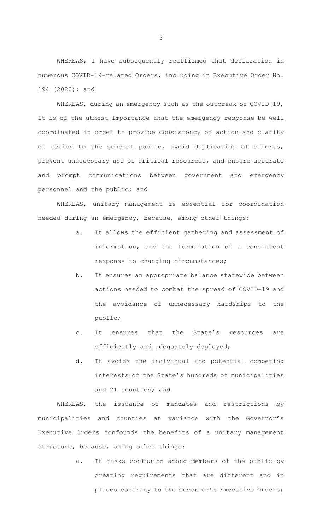WHEREAS, I have subsequently reaffirmed that declaration in numerous COVID-19-related Orders, including in Executive Order No. 194 (2020); and

WHEREAS, during an emergency such as the outbreak of COVID-19, it is of the utmost importance that the emergency response be well coordinated in order to provide consistency of action and clarity of action to the general public, avoid duplication of efforts, prevent unnecessary use of critical resources, and ensure accurate and prompt communications between government and emergency personnel and the public; and

WHEREAS, unitary management is essential for coordination needed during an emergency, because, among other things:

- a. It allows the efficient gathering and assessment of information, and the formulation of a consistent response to changing circumstances;
- b. It ensures an appropriate balance statewide between actions needed to combat the spread of COVID-19 and the avoidance of unnecessary hardships to the public;
- c. It ensures that the State's resources are efficiently and adequately deployed;
- d. It avoids the individual and potential competing interests of the State's hundreds of municipalities and 21 counties; and

WHEREAS, the issuance of mandates and restrictions by municipalities and counties at variance with the Governor's Executive Orders confounds the benefits of a unitary management structure, because, among other things:

> a. It risks confusion among members of the public by creating requirements that are different and in places contrary to the Governor's Executive Orders;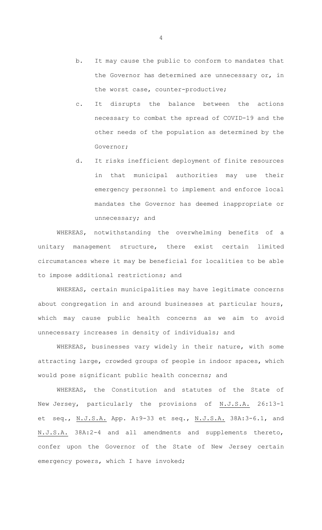- b. It may cause the public to conform to mandates that the Governor has determined are unnecessary or, in the worst case, counter-productive;
- c. It disrupts the balance between the actions necessary to combat the spread of COVID-19 and the other needs of the population as determined by the Governor;
- d. It risks inefficient deployment of finite resources in that municipal authorities may use their emergency personnel to implement and enforce local mandates the Governor has deemed inappropriate or unnecessary; and

WHEREAS, notwithstanding the overwhelming benefits of a unitary management structure, there exist certain limited circumstances where it may be beneficial for localities to be able to impose additional restrictions; and

WHEREAS, certain municipalities may have legitimate concerns about congregation in and around businesses at particular hours, which may cause public health concerns as we aim to avoid unnecessary increases in density of individuals; and

WHEREAS, businesses vary widely in their nature, with some attracting large, crowded groups of people in indoor spaces, which would pose significant public health concerns; and

WHEREAS, the Constitution and statutes of the State of New Jersey, particularly the provisions of N.J.S.A. 26:13-1 et seq., N.J.S.A. App. A:9-33 et seq., N.J.S.A. 38A:3-6.1, and N.J.S.A. 38A:2-4 and all amendments and supplements thereto, confer upon the Governor of the State of New Jersey certain emergency powers, which I have invoked;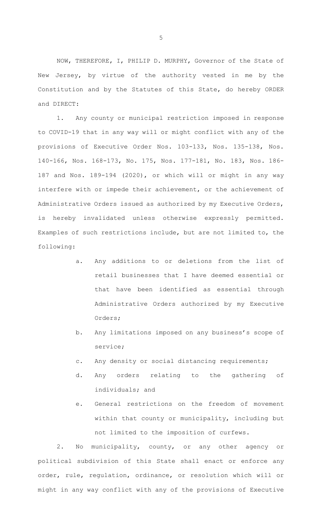NOW, THEREFORE, I, PHILIP D. MURPHY, Governor of the State of New Jersey, by virtue of the authority vested in me by the Constitution and by the Statutes of this State, do hereby ORDER and DIRECT:

1. Any county or municipal restriction imposed in response to COVID-19 that in any way will or might conflict with any of the provisions of Executive Order Nos. 103-133, Nos. 135-138, Nos. 140-166, Nos. 168-173, No. 175, Nos. 177-181, No. 183, Nos. 186- 187 and Nos. 189-194 (2020), or which will or might in any way interfere with or impede their achievement, or the achievement of Administrative Orders issued as authorized by my Executive Orders, is hereby invalidated unless otherwise expressly permitted. Examples of such restrictions include, but are not limited to, the following:

- a. Any additions to or deletions from the list of retail businesses that I have deemed essential or that have been identified as essential through Administrative Orders authorized by my Executive Orders;
- b. Any limitations imposed on any business's scope of service;
- c. Any density or social distancing requirements;
- d. Any orders relating to the gathering of individuals; and
- e. General restrictions on the freedom of movement within that county or municipality, including but not limited to the imposition of curfews.

2. No municipality, county, or any other agency or political subdivision of this State shall enact or enforce any order, rule, regulation, ordinance, or resolution which will or might in any way conflict with any of the provisions of Executive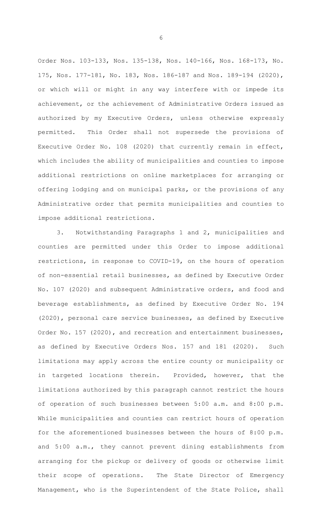Order Nos. 103-133, Nos. 135-138, Nos. 140-166, Nos. 168-173, No. 175, Nos. 177-181, No. 183, Nos. 186-187 and Nos. 189-194 (2020), or which will or might in any way interfere with or impede its achievement, or the achievement of Administrative Orders issued as authorized by my Executive Orders, unless otherwise expressly permitted. This Order shall not supersede the provisions of Executive Order No. 108 (2020) that currently remain in effect, which includes the ability of municipalities and counties to impose additional restrictions on online marketplaces for arranging or offering lodging and on municipal parks, or the provisions of any Administrative order that permits municipalities and counties to impose additional restrictions.

3. Notwithstanding Paragraphs 1 and 2, municipalities and counties are permitted under this Order to impose additional restrictions, in response to COVID-19, on the hours of operation of non-essential retail businesses, as defined by Executive Order No. 107 (2020) and subsequent Administrative orders, and food and beverage establishments, as defined by Executive Order No. 194 (2020), personal care service businesses, as defined by Executive Order No. 157 (2020), and recreation and entertainment businesses, as defined by Executive Orders Nos. 157 and 181 (2020). Such limitations may apply across the entire county or municipality or in targeted locations therein. Provided, however, that the limitations authorized by this paragraph cannot restrict the hours of operation of such businesses between 5:00 a.m. and 8:00 p.m. While municipalities and counties can restrict hours of operation for the aforementioned businesses between the hours of 8:00 p.m. and 5:00 a.m., they cannot prevent dining establishments from arranging for the pickup or delivery of goods or otherwise limit their scope of operations. The State Director of Emergency Management, who is the Superintendent of the State Police, shall